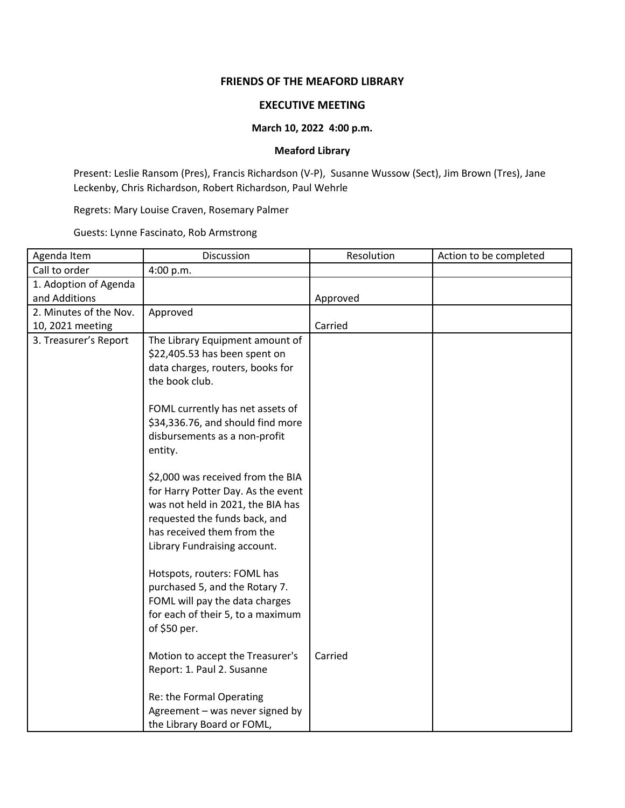## **FRIENDS OF THE MEAFORD LIBRARY**

## **EXECUTIVE MEETING**

## **March 10, 2022 4:00 p.m.**

## **Meaford Library**

Present: Leslie Ransom (Pres), Francis Richardson (V-P), Susanne Wussow (Sect), Jim Brown (Tres), Jane Leckenby, Chris Richardson, Robert Richardson, Paul Wehrle

Regrets: Mary Louise Craven, Rosemary Palmer

Guests: Lynne Fascinato, Rob Armstrong

| Agenda Item            | Discussion                                                         | Resolution | Action to be completed |
|------------------------|--------------------------------------------------------------------|------------|------------------------|
| Call to order          | 4:00 p.m.                                                          |            |                        |
| 1. Adoption of Agenda  |                                                                    |            |                        |
| and Additions          |                                                                    | Approved   |                        |
| 2. Minutes of the Nov. | Approved                                                           |            |                        |
| 10, 2021 meeting       |                                                                    | Carried    |                        |
| 3. Treasurer's Report  | The Library Equipment amount of                                    |            |                        |
|                        | \$22,405.53 has been spent on                                      |            |                        |
|                        | data charges, routers, books for                                   |            |                        |
|                        | the book club.                                                     |            |                        |
|                        |                                                                    |            |                        |
|                        | FOML currently has net assets of                                   |            |                        |
|                        | \$34,336.76, and should find more<br>disbursements as a non-profit |            |                        |
|                        | entity.                                                            |            |                        |
|                        |                                                                    |            |                        |
|                        | \$2,000 was received from the BIA                                  |            |                        |
|                        | for Harry Potter Day. As the event                                 |            |                        |
|                        | was not held in 2021, the BIA has                                  |            |                        |
|                        | requested the funds back, and                                      |            |                        |
|                        | has received them from the                                         |            |                        |
|                        | Library Fundraising account.                                       |            |                        |
|                        |                                                                    |            |                        |
|                        | Hotspots, routers: FOML has                                        |            |                        |
|                        | purchased 5, and the Rotary 7.                                     |            |                        |
|                        | FOML will pay the data charges                                     |            |                        |
|                        | for each of their 5, to a maximum                                  |            |                        |
|                        | of \$50 per.                                                       |            |                        |
|                        |                                                                    |            |                        |
|                        | Motion to accept the Treasurer's                                   | Carried    |                        |
|                        | Report: 1. Paul 2. Susanne                                         |            |                        |
|                        |                                                                    |            |                        |
|                        | Re: the Formal Operating                                           |            |                        |
|                        | Agreement - was never signed by                                    |            |                        |
|                        | the Library Board or FOML,                                         |            |                        |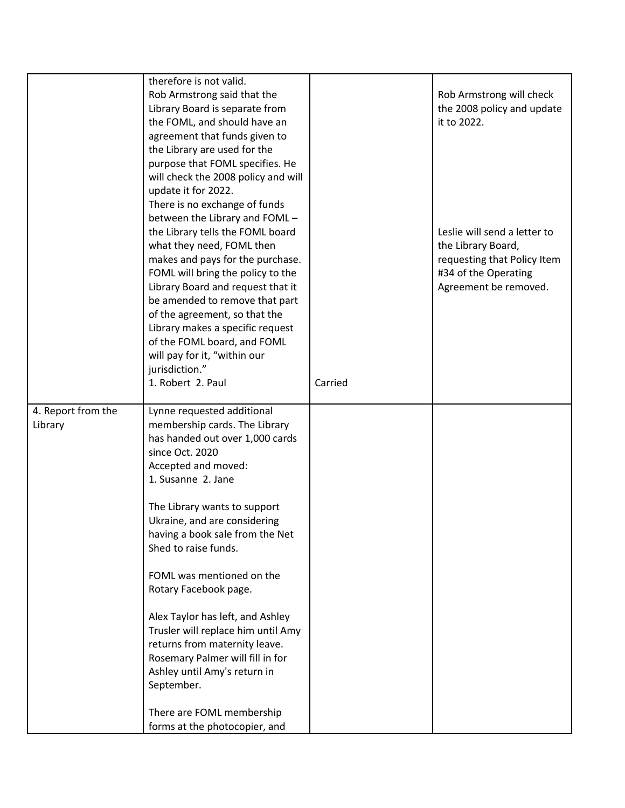|                               | therefore is not valid.<br>Rob Armstrong said that the<br>Library Board is separate from<br>the FOML, and should have an<br>agreement that funds given to<br>the Library are used for the                                                                                                                                                                                                                                                                                                                                                                    |         | Rob Armstrong will check<br>the 2008 policy and update<br>it to 2022.                                                              |
|-------------------------------|--------------------------------------------------------------------------------------------------------------------------------------------------------------------------------------------------------------------------------------------------------------------------------------------------------------------------------------------------------------------------------------------------------------------------------------------------------------------------------------------------------------------------------------------------------------|---------|------------------------------------------------------------------------------------------------------------------------------------|
|                               | purpose that FOML specifies. He<br>will check the 2008 policy and will<br>update it for 2022.<br>There is no exchange of funds<br>between the Library and FOML -<br>the Library tells the FOML board<br>what they need, FOML then<br>makes and pays for the purchase.<br>FOML will bring the policy to the<br>Library Board and request that it<br>be amended to remove that part<br>of the agreement, so that the<br>Library makes a specific request<br>of the FOML board, and FOML<br>will pay for it, "within our<br>jurisdiction."<br>1. Robert 2. Paul | Carried | Leslie will send a letter to<br>the Library Board,<br>requesting that Policy Item<br>#34 of the Operating<br>Agreement be removed. |
| 4. Report from the<br>Library | Lynne requested additional<br>membership cards. The Library<br>has handed out over 1,000 cards<br>since Oct. 2020<br>Accepted and moved:<br>1. Susanne 2. Jane                                                                                                                                                                                                                                                                                                                                                                                               |         |                                                                                                                                    |
|                               | The Library wants to support<br>Ukraine, and are considering<br>having a book sale from the Net<br>Shed to raise funds.                                                                                                                                                                                                                                                                                                                                                                                                                                      |         |                                                                                                                                    |
|                               | FOML was mentioned on the<br>Rotary Facebook page.                                                                                                                                                                                                                                                                                                                                                                                                                                                                                                           |         |                                                                                                                                    |
|                               | Alex Taylor has left, and Ashley<br>Trusler will replace him until Amy<br>returns from maternity leave.<br>Rosemary Palmer will fill in for<br>Ashley until Amy's return in<br>September.                                                                                                                                                                                                                                                                                                                                                                    |         |                                                                                                                                    |
|                               | There are FOML membership<br>forms at the photocopier, and                                                                                                                                                                                                                                                                                                                                                                                                                                                                                                   |         |                                                                                                                                    |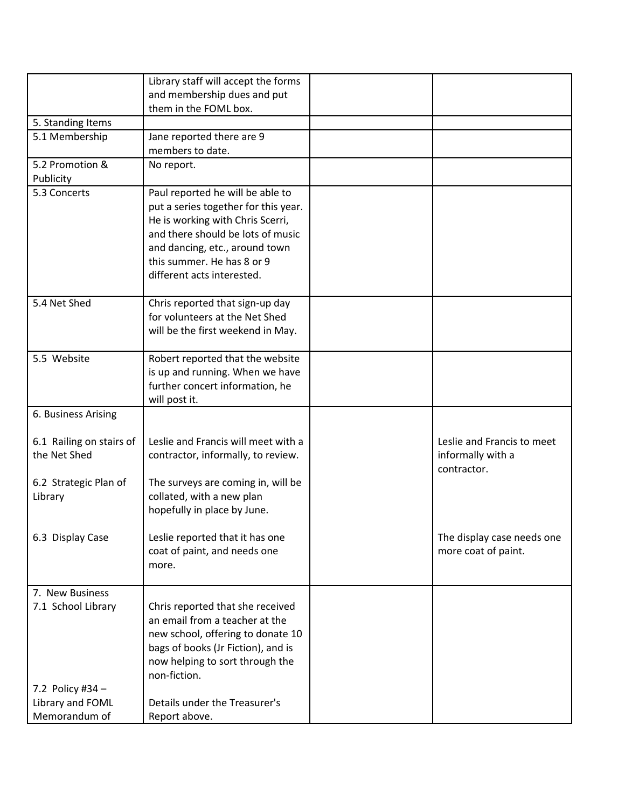|                          | Library staff will accept the forms  |                            |
|--------------------------|--------------------------------------|----------------------------|
|                          | and membership dues and put          |                            |
|                          | them in the FOML box.                |                            |
| 5. Standing Items        |                                      |                            |
| 5.1 Membership           | Jane reported there are 9            |                            |
|                          | members to date.                     |                            |
| 5.2 Promotion &          | No report.                           |                            |
| Publicity                |                                      |                            |
| 5.3 Concerts             | Paul reported he will be able to     |                            |
|                          | put a series together for this year. |                            |
|                          | He is working with Chris Scerri,     |                            |
|                          | and there should be lots of music    |                            |
|                          | and dancing, etc., around town       |                            |
|                          | this summer. He has 8 or 9           |                            |
|                          | different acts interested.           |                            |
| 5.4 Net Shed             | Chris reported that sign-up day      |                            |
|                          | for volunteers at the Net Shed       |                            |
|                          | will be the first weekend in May.    |                            |
|                          |                                      |                            |
| 5.5 Website              | Robert reported that the website     |                            |
|                          | is up and running. When we have      |                            |
|                          | further concert information, he      |                            |
|                          | will post it.                        |                            |
| 6. Business Arising      |                                      |                            |
|                          |                                      |                            |
| 6.1 Railing on stairs of | Leslie and Francis will meet with a  | Leslie and Francis to meet |
| the Net Shed             | contractor, informally, to review.   | informally with a          |
|                          |                                      | contractor.                |
| 6.2 Strategic Plan of    | The surveys are coming in, will be   |                            |
| Library                  | collated, with a new plan            |                            |
|                          | hopefully in place by June.          |                            |
| 6.3 Display Case         | Leslie reported that it has one      | The display case needs one |
|                          | coat of paint, and needs one         | more coat of paint.        |
|                          | more.                                |                            |
|                          |                                      |                            |
| 7. New Business          |                                      |                            |
| 7.1 School Library       | Chris reported that she received     |                            |
|                          | an email from a teacher at the       |                            |
|                          | new school, offering to donate 10    |                            |
|                          | bags of books (Jr Fiction), and is   |                            |
|                          | now helping to sort through the      |                            |
|                          | non-fiction.                         |                            |
| 7.2 Policy #34 -         |                                      |                            |
| Library and FOML         | Details under the Treasurer's        |                            |
| Memorandum of            | Report above.                        |                            |